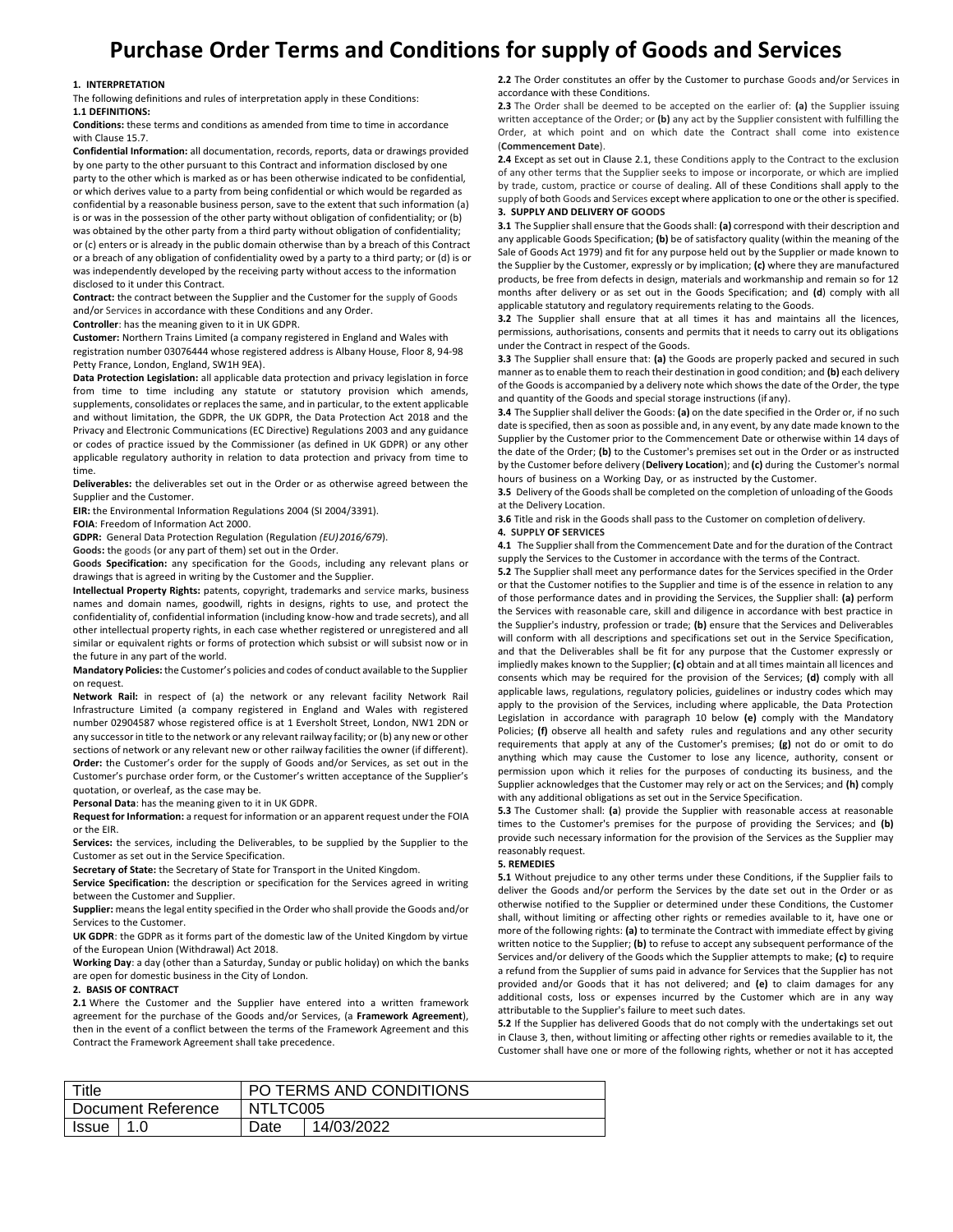# **Purchase Order Terms and Conditions for supply of Goods and Services**

### **1. INTERPRETATION**

The following definitions and rules of interpretation apply in these Conditions: **1.1 DEFINITIONS:**

**Conditions:** these terms and conditions as amended from time to time in accordance with Clause 15.7.

**Confidential Information:** all documentation, records, reports, data or drawings provided by one party to the other pursuant to this Contract and information disclosed by one party to the other which is marked as or has been otherwise indicated to be confidential, or which derives value to a party from being confidential or which would be regarded as confidential by a reasonable business person, save to the extent that such information (a) is or was in the possession of the other party without obligation of confidentiality; or (b) was obtained by the other party from a third party without obligation of confidentiality; or (c) enters or is already in the public domain otherwise than by a breach of this Contract or a breach of any obligation of confidentiality owed by a party to a third party; or (d) is or

was independently developed by the receiving party without access to the information disclosed to it under this Contract. **Contract:** the contract between the Supplier and the Customer for the supply of Goods

and/or Services in accordance with these Conditions and any Order.

**Controller**: has the meaning given to it in UK GDPR.

**Customer:** Northern Trains Limited (a company registered in England and Wales with registration number 03076444 whose registered address is Albany House, Floor 8, 94-98 Petty France, London, England, SW1H 9EA).

**Data Protection Legislation:** all applicable data protection and privacy legislation in force from time to time including any statute or statutory provision which amends, supplements, consolidates or replaces the same, and in particular, to the extent applicable and without limitation, the GDPR, the UK GDPR, the Data Protection Act 2018 and the Privacy and Electronic Communications (EC Directive) Regulations 2003 and any guidance or codes of practice issued by the Commissioner (as defined in UK GDPR) or any other applicable regulatory authority in relation to data protection and privacy from time to time.

**Deliverables:** the deliverables set out in the Order or as otherwise agreed between the Supplier and the Customer.

**EIR:** the Environmental Information Regulations 2004 (SI 2004/3391).

**FOIA**: Freedom of Information Act 2000.

**GDPR:** General Data Protection Regulation (Regulation *(EU)2016/679*).

**Goods:** the goods (or any part of them) set out in the Order.

**Goods Specification:** any specification for the Goods, including any relevant plans or drawings that is agreed in writing by the Customer and the Supplier.

**Intellectual Property Rights:** patents, copyright, trademarks and service marks, business names and domain names, goodwill, rights in designs, rights to use, and protect the confidentiality of, confidential information (including know-how and trade secrets), and all other intellectual property rights, in each case whether registered or unregistered and all similar or equivalent rights or forms of protection which subsist or will subsist now or in the future in any part of the world.

**Mandatory Policies:** the Customer's policies and codes of conduct available to the Supplier on request.

**Network Rail:** in respect of (a) the network or any relevant facility Network Rail Infrastructure Limited (a company registered in England and Wales with registered number 02904587 whose registered office is at 1 Eversholt Street, London, NW1 2DN or any successor in title to the network or any relevant railway facility; or (b) any new or other sections of network or any relevant new or other railway facilities the owner (if different). **Order:** the Customer's order for the supply of Goods and/or Services, as set out in the Customer's purchase order form, or the Customer's written acceptance of the Supplier's quotation, or overleaf, as the case may be.

**Personal Data**: has the meaning given to it in UK GDPR.

**Request for Information:** a request for information or an apparent request under the FOIA or the EIR.

**Services:** the services, including the Deliverables, to be supplied by the Supplier to the Customer as set out in the Service Specification.

**Secretary of State:** the Secretary of State for Transport in the United Kingdom.

**Service Specification:** the description or specification for the Services agreed in writing

between the Customer and Supplier. **Supplier:** means the legal entity specified in the Order who shall provide the Goods and/or Services to the Customer.

**UK GDPR**: the GDPR as it forms part of the domestic law of the United Kingdom by virtue of the European Union (Withdrawal) Act 2018.

**Working Day**: a day (other than a Saturday, Sunday or public holiday) on which the banks are open for domestic business in the City of London.

## **2. BASIS OF CONTRACT**

**2.1** Where the Customer and the Supplier have entered into a written framework agreement for the purchase of the Goods and/or Services, (a **Framework Agreement**), then in the event of a conflict between the terms of the Framework Agreement and this Contract the Framework Agreement shall take precedence.

**2.2** The Order constitutes an offer by the Customer to purchase Goods and/or Services in accordance with these Conditions.

**2.3** The Order shall be deemed to be accepted on the earlier of: **(a)** the Supplier issuing written acceptance of the Order; or **(b)** any act by the Supplier consistent with fulfilling the Order, at which point and on which date the Contract shall come into existence (**Commencement Date**).

**2.4** Except as set out in Clause 2.1, these Conditions apply to the Contract to the exclusion of any other terms that the Supplier seeks to impose or incorporate, or which are implied by trade, custom, practice or course of dealing. All of these Conditions shall apply to the supply of both Goods and Services except where application to one or the other is specified. **3. SUPPLY AND DELIVERY OF GOODS**

**3.1** The Supplier shall ensure that the Goods shall: **(a)** correspond with their description and any applicable Goods Specification; **(b)** be of satisfactory quality (within the meaning of the Sale of Goods Act 1979) and fit for any purpose held out by the Supplier or made known to the Supplier by the Customer, expressly or by implication; **(c)** where they are manufactured products, be free from defects in design, materials and workmanship and remain so for 12 months after delivery or as set out in the Goods Specification; and **(d**) comply with all applicable statutory and regulatory requirements relating to the Goods.

**3.2** The Supplier shall ensure that at all times it has and maintains all the licences, permissions, authorisations, consents and permits that it needs to carry out its obligations under the Contract in respect of the Goods.

**3.3** The Supplier shall ensure that: **(a)** the Goods are properly packed and secured in such manner as to enable them to reach their destination in good condition; and **(b)** each delivery of the Goods is accompanied by a delivery note which shows the date of the Order, the type and quantity of the Goods and special storage instructions (if any).

**3.4** The Supplier shall deliver the Goods: **(a)** on the date specified in the Order or, if no such date is specified, then as soon as possible and, in any event, by any date made known to the Supplier by the Customer prior to the Commencement Date or otherwise within 14 days of the date of the Order; **(b)** to the Customer's premises set out in the Order or as instructed by the Customer before delivery (**Delivery Location**); and **(c)** during the Customer's normal hours of business on a Working Day, or as instructed by the Customer.

**3.5** Delivery of the Goods shall be completed on the completion of unloading of the Goods at the Delivery Location.

**3.6** Title and risk in the Goods shall pass to the Customer on completion ofdelivery. **4. SUPPLY OF SERVICES**

**4.1** The Supplier shall from the Commencement Date and for the duration of the Contract supply the Services to the Customer in accordance with the terms of the Contract.

**5.2** The Supplier shall meet any performance dates for the Services specified in the Order or that the Customer notifies to the Supplier and time is of the essence in relation to any of those performance dates and in providing the Services, the Supplier shall: **(a)** perform the Services with reasonable care, skill and diligence in accordance with best practice in the Supplier's industry, profession or trade; **(b)** ensure that the Services and Deliverables will conform with all descriptions and specifications set out in the Service Specification, and that the Deliverables shall be fit for any purpose that the Customer expressly or impliedly makes known to the Supplier; **(c)** obtain and at all times maintain all licences and consents which may be required for the provision of the Services; **(d)** comply with all applicable laws, regulations, regulatory policies, guidelines or industry codes which may apply to the provision of the Services, including where applicable, the Data Protection Legislation in accordance with paragraph 10 below **(e)** comply with the Mandatory Policies; **(f)** observe all health and safety rules and regulations and any other security requirements that apply at any of the Customer's premises; **(g)** not do or omit to do anything which may cause the Customer to lose any licence, authority, consent or permission upon which it relies for the purposes of conducting its business, and the Supplier acknowledges that the Customer may rely or act on the Services; and **(h)** comply with any additional obligations as set out in the Service Specification.

**5.3** The Customer shall: **(a**) provide the Supplier with reasonable access at reasonable times to the Customer's premises for the purpose of providing the Services; and **(b)**  provide such necessary information for the provision of the Services as the Supplier may reasonably request.

#### **5. REMEDIES**

**5.1** Without prejudice to any other terms under these Conditions, if the Supplier fails to deliver the Goods and/or perform the Services by the date set out in the Order or as otherwise notified to the Supplier or determined under these Conditions, the Customer shall, without limiting or affecting other rights or remedies available to it, have one or more of the following rights: **(a)** to terminate the Contract with immediate effect by giving written notice to the Supplier; **(b)** to refuse to accept any subsequent performance of the Services and/or delivery of the Goods which the Supplier attempts to make; **(c)** to require a refund from the Supplier of sums paid in advance for Services that the Supplier has not provided and/or Goods that it has not delivered; and **(e)** to claim damages for any additional costs, loss or expenses incurred by the Customer which are in any way attributable to the Supplier's failure to meet such dates.

**5.2** If the Supplier has delivered Goods that do not comply with the undertakings set out in Clause 3, then, without limiting or affecting other rights or remedies available to it, the Customer shall have one or more of the following rights, whether or not it has accepted

| Title              |       | PO TERMS AND CONDITIONS |            |  |
|--------------------|-------|-------------------------|------------|--|
| Document Reference |       | NTLTC005                |            |  |
| Issue              | l 1.0 | Date                    | 14/03/2022 |  |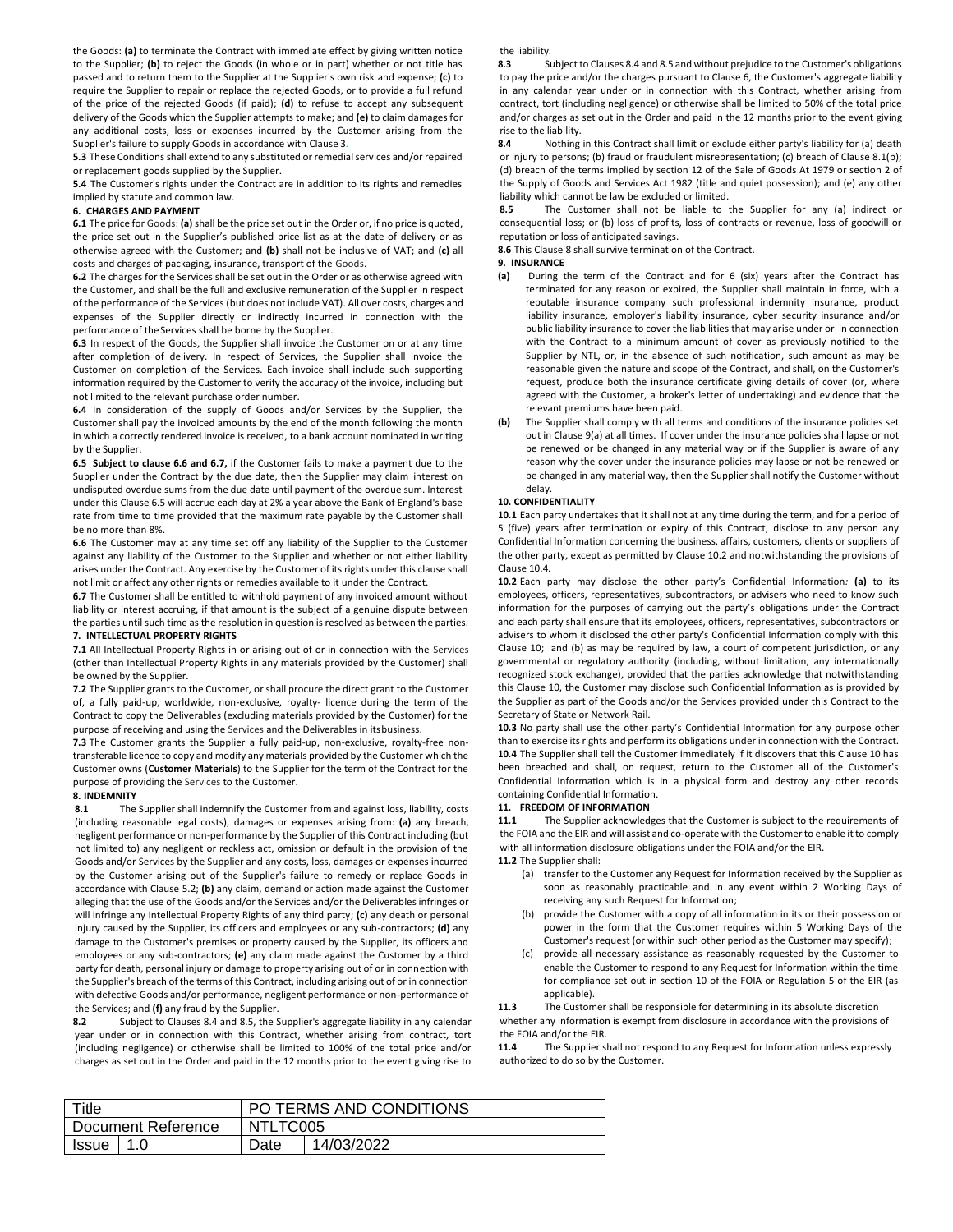the Goods: **(a)** to terminate the Contract with immediate effect by giving written notice to the Supplier; **(b)** to reject the Goods (in whole or in part) whether or not title has passed and to return them to the Supplier at the Supplier's own risk and expense; **(c)** to require the Supplier to repair or replace the rejected Goods, or to provide a full refund of the price of the rejected Goods (if paid); **(d)** to refuse to accept any subsequent delivery of the Goods which the Supplier attempts to make; and **(e)** to claim damages for any additional costs, loss or expenses incurred by the Customer arising from the Supplier's failure to supply Goods in accordance with Clause 3*.*

**5.3** These Conditions shall extend to any substituted or remedial services and/or repaired or replacement goods supplied by the Supplier.

**5.4** The Customer's rights under the Contract are in addition to its rights and remedies implied by statute and common law.

#### **6. CHARGES AND PAYMENT**

**6.1** The price for Goods: **(a)** shall be the price set out in the Order or, if no price is quoted, the price set out in the Supplier's published price list as at the date of delivery or as otherwise agreed with the Customer; and **(b)** shall not be inclusive of VAT; and **(c)** all costs and charges of packaging, insurance, transport of the Goods.

**6.2** The charges for the Services shall be set out in the Order or as otherwise agreed with the Customer, and shall be the full and exclusive remuneration of the Supplier in respect of the performance of the Services (but does not include VAT). All over costs, charges and expenses of the Supplier directly or indirectly incurred in connection with the performance of theServices shall be borne by the Supplier.

**6.3** In respect of the Goods, the Supplier shall invoice the Customer on or at any time after completion of delivery. In respect of Services, the Supplier shall invoice the Customer on completion of the Services. Each invoice shall include such supporting information required by the Customer to verify the accuracy of the invoice, including but not limited to the relevant purchase order number.

**6.4** In consideration of the supply of Goods and/or Services by the Supplier, the Customer shall pay the invoiced amounts by the end of the month following the month in which a correctly rendered invoice is received, to a bank account nominated in writing by the Supplier.

**6.5 Subject to clause 6.6 and 6.7,** if the Customer fails to make a payment due to the Supplier under the Contract by the due date, then the Supplier may claim interest on undisputed overdue sums from the due date until payment of the overdue sum. Interest under this Clause 6.5 will accrue each day at 2% a year above the Bank of England's base rate from time to time provided that the maximum rate payable by the Customer shall be no more than 8%.

**6.6** The Customer may at any time set off any liability of the Supplier to the Customer against any liability of the Customer to the Supplier and whether or not either liability arises under the Contract. Any exercise by the Customer of its rights under this clause shall not limit or affect any other rights or remedies available to it under the Contract.

**6.7** The Customer shall be entitled to withhold payment of any invoiced amount without liability or interest accruing, if that amount is the subject of a genuine dispute between the parties until such time as the resolution in question is resolved as between the parties. **7. INTELLECTUAL PROPERTY RIGHTS**

**7.1** All Intellectual Property Rights in or arising out of or in connection with the Services (other than Intellectual Property Rights in any materials provided by the Customer) shall be owned by the Supplier.

**7.2** The Supplier grants to the Customer, or shall procure the direct grant to the Customer of, a fully paid-up, worldwide, non-exclusive, royalty- licence during the term of the Contract to copy the Deliverables (excluding materials provided by the Customer) for the purpose of receiving and using the Services and the Deliverables in itsbusiness.

**7.3** The Customer grants the Supplier a fully paid-up, non-exclusive, royalty-free nontransferable licence to copy and modify any materials provided by the Customer which the Customer owns (**Customer Materials**) to the Supplier for the term of the Contract for the purpose of providing the Services to the Customer.

# **8. INDEMNITY**

**8.1** The Supplier shall indemnify the Customer from and against loss, liability, costs (including reasonable legal costs), damages or expenses arising from: **(a)** any breach, negligent performance or non-performance by the Supplier of this Contract including (but not limited to) any negligent or reckless act, omission or default in the provision of the Goods and/or Services by the Supplier and any costs, loss, damages or expenses incurred by the Customer arising out of the Supplier's failure to remedy or replace Goods in accordance with Clause 5.2; **(b)** any claim, demand or action made against the Customer alleging that the use of the Goods and/or the Services and/or the Deliverables infringes or will infringe any Intellectual Property Rights of any third party; **(c)** any death or personal injury caused by the Supplier, its officers and employees or any sub-contractors; **(d)** any damage to the Customer's premises or property caused by the Supplier, its officers and employees or any sub-contractors; **(e)** any claim made against the Customer by a third party for death, personal injury or damage to property arising out of or in connection with the Supplier's breach of the terms of this Contract, including arising out of or in connection with defective Goods and/or performance, negligent performance or non-performance of the Services; and **(f)** any fraud by the Supplier.

**8.2** Subject to Clauses 8.4 and 8.5, the Supplier's aggregate liability in any calendar year under or in connection with this Contract, whether arising from contract, tort (including negligence) or otherwise shall be limited to 100% of the total price and/or charges as set out in the Order and paid in the 12 months prior to the event giving rise to the liability.

**8.3** Subject to Clauses 8.4 and 8.5 and without prejudice to the Customer's obligations to pay the price and/or the charges pursuant to Clause 6, the Customer's aggregate liability in any calendar year under or in connection with this Contract, whether arising from contract, tort (including negligence) or otherwise shall be limited to 50% of the total price and/or charges as set out in the Order and paid in the 12 months prior to the event giving rise to the liability.<br>8.4 Nothing

**8.4** Nothing in this Contract shall limit or exclude either party's liability for (a) death or injury to persons; (b) fraud or fraudulent misrepresentation; (c) breach of Clause 8.1(b); (d) breach of the terms implied by section 12 of the Sale of Goods At 1979 or section 2 of the Supply of Goods and Services Act 1982 (title and quiet possession); and (e) any other liability which cannot be law be excluded or limited.

**8.5** The Customer shall not be liable to the Supplier for any (a) indirect or consequential loss; or (b) loss of profits, loss of contracts or revenue, loss of goodwill or reputation or loss of anticipated savings.

**8.6** This Clause 8 shall survive termination of the Contract.

# **9. INSURANCE**

- **(a)** During the term of the Contract and for 6 (six) years after the Contract has terminated for any reason or expired, the Supplier shall maintain in force, with a reputable insurance company such professional indemnity insurance, product liability insurance, employer's liability insurance, cyber security insurance and/or public liability insurance to cover the liabilities that may arise under or in connection with the Contract to a minimum amount of cover as previously notified to the Supplier by NTL, or, in the absence of such notification, such amount as may be reasonable given the nature and scope of the Contract, and shall, on the Customer's request, produce both the insurance certificate giving details of cover (or, where agreed with the Customer, a broker's letter of undertaking) and evidence that the relevant premiums have been paid.
- **(b)** The Supplier shall comply with all terms and conditions of the insurance policies set out in Clause 9(a) at all times. If cover under the insurance policies shall lapse or not be renewed or be changed in any material way or if the Supplier is aware of any reason why the cover under the insurance policies may lapse or not be renewed or be changed in any material way, then the Supplier shall notify the Customer without delay.

#### **10. CONFIDENTIALITY**

**10.1** Each party undertakes that it shall not at any time during the term, and for a period of 5 (five) years after termination or expiry of this Contract, disclose to any person any Confidential Information concerning the business, affairs, customers, clients or suppliers of the other party, except as permitted by Clause 10.2 and notwithstanding the provisions of Clause 10.4*.*

**10.2** Each party may disclose the other party's Confidential Information*:* **(a)** to its employees, officers, representatives, subcontractors, or advisers who need to know such information for the purposes of carrying out the party's obligations under the Contract and each party shall ensure that its employees, officers, representatives, subcontractors or advisers to whom it disclosed the other party's Confidential Information comply with this Clause 10; and (b) as may be required by law, a court of competent jurisdiction, or any governmental or regulatory authority (including, without limitation, any internationally recognized stock exchange), provided that the parties acknowledge that notwithstanding this Clause 10, the Customer may disclose such Confidential Information as is provided by the Supplier as part of the Goods and/or the Services provided under this Contract to the Secretary of State or Network Rail*.*

**10.3** No party shall use the other party's Confidential Information for any purpose other than to exercise its rights and perform its obligations under in connection with the Contract. **10.4** The Supplier shall tell the Customer immediately if it discovers that this Clause 10 has been breached and shall, on request, return to the Customer all of the Customer's Confidential Information which is in a physical form and destroy any other records containing Confidential Information.

#### **11. FREEDOM OF INFORMATION**

**11.1** The Supplier acknowledges that the Customer is subject to the requirements of the FOIA and the EIR and will assist and co-operate with the Customer to enable it to comply with all information disclosure obligations under the FOIA and/or the EIR.

**11.2** The Supplier shall:

- (a) transfer to the Customer any Request for Information received by the Supplier as soon as reasonably practicable and in any event within 2 Working Days of receiving any such Request for Information;
- (b) provide the Customer with a copy of all information in its or their possession or power in the form that the Customer requires within 5 Working Days of the Customer's request (or within such other period as the Customer may specify);
- (c) provide all necessary assistance as reasonably requested by the Customer to enable the Customer to respond to any Request for Information within the time for compliance set out in section 10 of the FOIA or Regulation 5 of the EIR (as applicable).

**11.3** The Customer shall be responsible for determining in its absolute discretion whether any information is exempt from disclosure in accordance with the provisions of the FOIA and/or the EIR.

**11.4** The Supplier shall not respond to any Request for Information unless expressly authorized to do so by the Customer.

| Title              | PO TERMS AND CONDITIONS |            |  |
|--------------------|-------------------------|------------|--|
| Document Reference | NTLTC005                |            |  |
| -1.0<br>Issue      | Date                    | 14/03/2022 |  |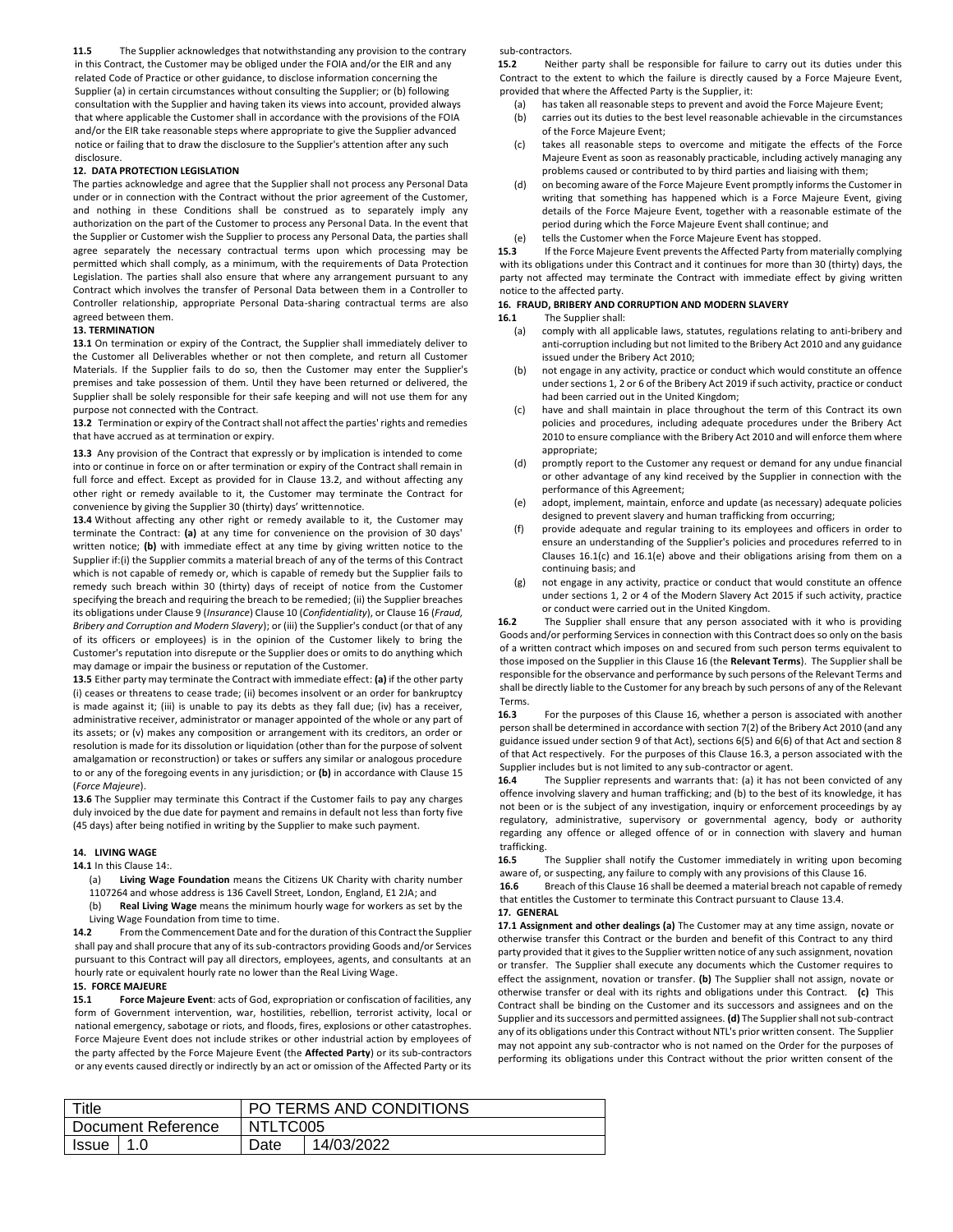**11.5** The Supplier acknowledges that notwithstanding any provision to the contrary in this Contract, the Customer may be obliged under the FOIA and/or the EIR and any related Code of Practice or other guidance, to disclose information concerning the Supplier (a) in certain circumstances without consulting the Supplier; or (b) following consultation with the Supplier and having taken its views into account, provided always that where applicable the Customer shall in accordance with the provisions of the FOIA and/or the EIR take reasonable steps where appropriate to give the Supplier advanced notice or failing that to draw the disclosure to the Supplier's attention after any such disclosure.

## **12. DATA PROTECTION LEGISLATION**

The parties acknowledge and agree that the Supplier shall not process any Personal Data under or in connection with the Contract without the prior agreement of the Customer, and nothing in these Conditions shall be construed as to separately imply any authorization on the part of the Customer to process any Personal Data. In the event that the Supplier or Customer wish the Supplier to process any Personal Data, the parties shall agree separately the necessary contractual terms upon which processing may be permitted which shall comply, as a minimum, with the requirements of Data Protection Legislation. The parties shall also ensure that where any arrangement pursuant to any Contract which involves the transfer of Personal Data between them in a Controller to Controller relationship, appropriate Personal Data-sharing contractual terms are also agreed between them.

#### **13. TERMINATION**

**13.1** On termination or expiry of the Contract, the Supplier shall immediately deliver to the Customer all Deliverables whether or not then complete, and return all Customer Materials. If the Supplier fails to do so, then the Customer may enter the Supplier's premises and take possession of them. Until they have been returned or delivered, the Supplier shall be solely responsible for their safe keeping and will not use them for any purpose not connected with the Contract.

**13.2** Termination or expiry of the Contract shall not affect the parties' rights and remedies that have accrued as at termination or expiry.

**13.3** Any provision of the Contract that expressly or by implication is intended to come into or continue in force on or after termination or expiry of the Contract shall remain in full force and effect. Except as provided for in Clause 13.2, and without affecting any other right or remedy available to it, the Customer may terminate the Contract for convenience by giving the Supplier 30 (thirty) days' writtennotice.

**13.4** Without affecting any other right or remedy available to it, the Customer may terminate the Contract: **(a)** at any time for convenience on the provision of 30 days' written notice; **(b)** with immediate effect at any time by giving written notice to the Supplier if:(i) the Supplier commits a material breach of any of the terms of this Contract which is not capable of remedy or, which is capable of remedy but the Supplier fails to remedy such breach within 30 (thirty) days of receipt of notice from the Customer specifying the breach and requiring the breach to be remedied; (ii) the Supplier breaches its obligations under Clause 9 (*Insurance*) Clause 10 (*Confidentiality*), or Clause 16 (*Fraud, Bribery and Corruption and Modern Slavery*); or (iii) the Supplier's conduct (or that of any of its officers or employees) is in the opinion of the Customer likely to bring the Customer's reputation into disrepute or the Supplier does or omits to do anything which may damage or impair the business or reputation of the Customer.

**13.5** Either party may terminate the Contract with immediate effect: **(a)** if the other party (i) ceases or threatens to cease trade; (ii) becomes insolvent or an order for bankruptcy is made against it; (iii) is unable to pay its debts as they fall due; (iv) has a receiver, administrative receiver, administrator or manager appointed of the whole or any part of its assets; or (v) makes any composition or arrangement with its creditors, an order or resolution is made for its dissolution or liquidation (other than for the purpose of solvent amalgamation or reconstruction) or takes or suffers any similar or analogous procedure to or any of the foregoing events in any jurisdiction; or **(b)** in accordance with Clause 15 (*Force Majeure*).

**13.6** The Supplier may terminate this Contract if the Customer fails to pay any charges duly invoiced by the due date for payment and remains in default not less than forty five (45 days) after being notified in writing by the Supplier to make such payment.

#### **14. LIVING WAGE**

#### **14.1** In this Clause 14:.

(a) **Living Wage Foundation** means the Citizens UK Charity with charity number 1107264 and whose address is 136 Cavell Street, London, England, E1 2JA; and

Real Living Wage means the minimum hourly wage for workers as set by the Living Wage Foundation from time to time.

**14.2** From the Commencement Date and for the duration of this Contract the Supplier shall pay and shall procure that any of its sub-contractors providing Goods and/or Services pursuant to this Contract will pay all directors, employees, agents, and consultants at an hourly rate or equivalent hourly rate no lower than the Real Living Wage.

# **15. FORCE MAJEURE**

**15.1 Force Majeure Event**: acts of God, expropriation or confiscation of facilities, any form of Government intervention, war, hostilities, rebellion, terrorist activity, local or national emergency, sabotage or riots, and floods, fires, explosions or other catastrophes. Force Majeure Event does not include strikes or other industrial action by employees of the party affected by the Force Majeure Event (the **Affected Party**) or its sub-contractors or any events caused directly or indirectly by an act or omission of the Affected Party or its sub-contractors.

**15.2** Neither party shall be responsible for failure to carry out its duties under this Contract to the extent to which the failure is directly caused by a Force Majeure Event, provided that where the Affected Party is the Supplier, it:

- (a) has taken all reasonable steps to prevent and avoid the Force Majeure Event;
- (b) carries out its duties to the best level reasonable achievable in the circumstances of the Force Majeure Event;
- (c) takes all reasonable steps to overcome and mitigate the effects of the Force Majeure Event as soon as reasonably practicable, including actively managing any problems caused or contributed to by third parties and liaising with them;
- (d) on becoming aware of the Force Majeure Event promptly informs the Customer in writing that something has happened which is a Force Majeure Event, giving details of the Force Majeure Event, together with a reasonable estimate of the period during which the Force Majeure Event shall continue; and
- (e) tells the Customer when the Force Majeure Event has stopped.<br>15.3 If the Force Majeure Event prevents the Affected Party from ma

**15.3** If the Force Majeure Event prevents the Affected Party from materially complying with its obligations under this Contract and it continues for more than 30 (thirty) days, the party not affected may terminate the Contract with immediate effect by giving written notice to the affected party.

#### **16. FRAUD, BRIBERY AND CORRUPTION AND MODERN SLAVERY**

- **16.1** The Supplier shall:
	- (a) comply with all applicable laws, statutes, regulations relating to anti-bribery and anti-corruption including but not limited to the Bribery Act 2010 and any guidance issued under the Bribery Act 2010;
	- (b) not engage in any activity, practice or conduct which would constitute an offence under sections 1, 2 or 6 of the Bribery Act 2019 if such activity, practice or conduct had been carried out in the United Kingdom;
	- (c) have and shall maintain in place throughout the term of this Contract its own policies and procedures, including adequate procedures under the Bribery Act 2010 to ensure compliance with the Bribery Act 2010 and will enforce them where appropriate;
	- (d) promptly report to the Customer any request or demand for any undue financial or other advantage of any kind received by the Supplier in connection with the performance of this Agreement;
	- (e) adopt, implement, maintain, enforce and update (as necessary) adequate policies designed to prevent slavery and human trafficking from occurring;
	- (f) provide adequate and regular training to its employees and officers in order to ensure an understanding of the Supplier's policies and procedures referred to in Clauses 16.1(c) and 16.1(e) above and their obligations arising from them on a continuing basis; and
	- (g) not engage in any activity, practice or conduct that would constitute an offence under sections 1, 2 or 4 of the Modern Slavery Act 2015 if such activity, practice or conduct were carried out in the United Kingdom.

**16.2** The Supplier shall ensure that any person associated with it who is providing Goods and/or performing Services in connection with this Contract does so only on the basis of a written contract which imposes on and secured from such person terms equivalent to those imposed on the Supplier in this Clause 16 (the **Relevant Terms**). The Supplier shall be responsible for the observance and performance by such persons of the Relevant Terms and shall be directly liable to the Customer for any breach by such persons of any of the Relevant Terms.

**16.3** For the purposes of this Clause 16, whether a person is associated with another person shall be determined in accordance with section 7(2) of the Bribery Act 2010 (and any guidance issued under section 9 of that Act), sections 6(5) and 6(6) of that Act and section 8 of that Act respectively. For the purposes of this Clause 16.3, a person associated with the Supplier includes but is not limited to any sub-contractor or agent.

**16.4** The Supplier represents and warrants that: (a) it has not been convicted of any offence involving slavery and human trafficking; and (b) to the best of its knowledge, it has not been or is the subject of any investigation, inquiry or enforcement proceedings by ay regulatory, administrative, supervisory or governmental agency, body or authority regarding any offence or alleged offence of or in connection with slavery and human trafficking.

**16.5** The Supplier shall notify the Customer immediately in writing upon becoming aware of, or suspecting, any failure to comply with any provisions of this Clause 16.

**16.6** Breach of this Clause 16 shall be deemed a material breach not capable of remedy that entitles the Customer to terminate this Contract pursuant to Clause 13.4. **17. GENERAL**

**17.1 Assignment and other dealings (a)** The Customer may at any time assign, novate or otherwise transfer this Contract or the burden and benefit of this Contract to any third party provided that it gives to the Supplier written notice of any such assignment, novation or transfer. The Supplier shall execute any documents which the Customer requires to effect the assignment, novation or transfer. **(b)** The Supplier shall not assign, novate or otherwise transfer or deal with its rights and obligations under this Contract. **(c)** This Contract shall be binding on the Customer and its successors and assignees and on the Supplier and its successors and permitted assignees. **(d)** The Supplier shall not sub-contract any of its obligations under this Contract without NTL's prior written consent. The Supplier may not appoint any sub-contractor who is not named on the Order for the purposes of performing its obligations under this Contract without the prior written consent of the

| Title              | PO TERMS AND CONDITIONS |            |  |
|--------------------|-------------------------|------------|--|
| Document Reference | NTLTC005                |            |  |
| <b>Issue</b>       | Date                    | 14/03/2022 |  |